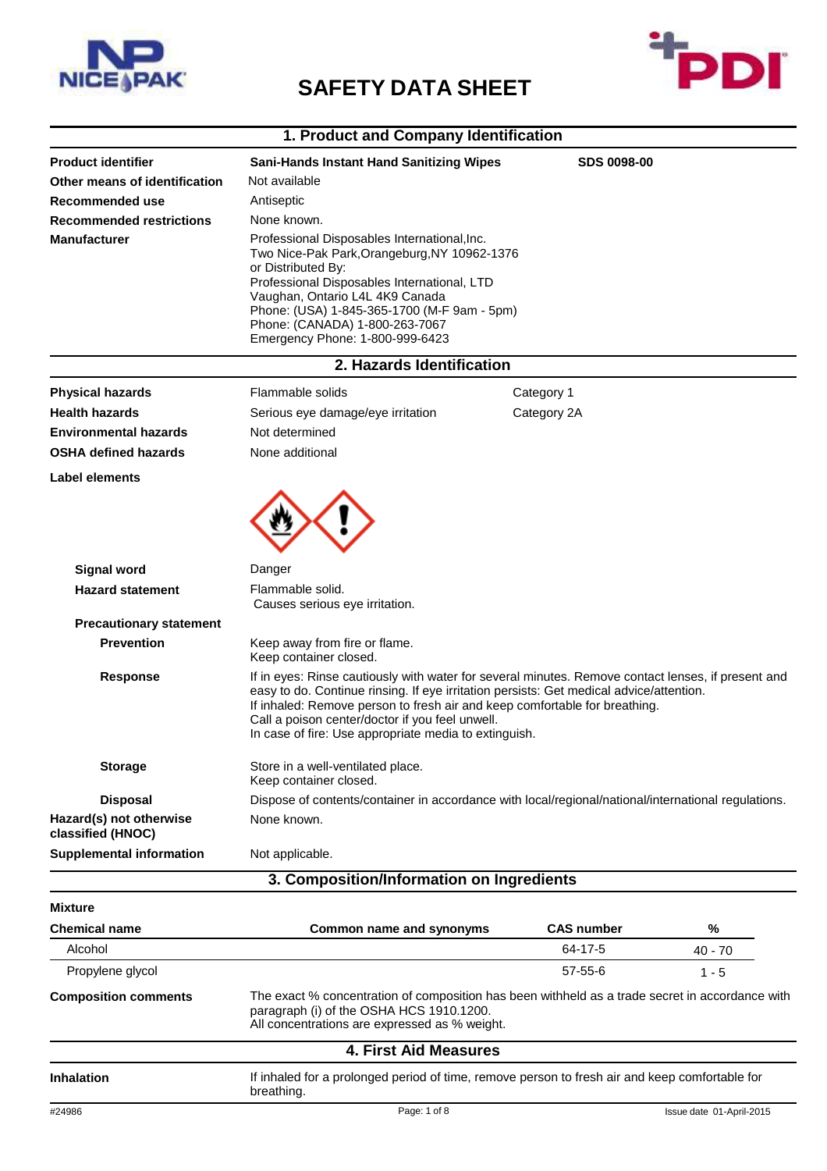

## **SAFETY DATA SHEET**



### **1. Product and Company Identification**

| <b>Product identifier</b>                     | <b>Sani-Hands Instant Hand Sanitizing Wipes</b>                                                                                                                                                                                                                                                                                                                                         | <b>SDS 0098-00</b> |         |  |
|-----------------------------------------------|-----------------------------------------------------------------------------------------------------------------------------------------------------------------------------------------------------------------------------------------------------------------------------------------------------------------------------------------------------------------------------------------|--------------------|---------|--|
| Other means of identification                 | Not available                                                                                                                                                                                                                                                                                                                                                                           |                    |         |  |
| Recommended use                               | Antiseptic                                                                                                                                                                                                                                                                                                                                                                              |                    |         |  |
| <b>Recommended restrictions</b>               | None known.                                                                                                                                                                                                                                                                                                                                                                             |                    |         |  |
| <b>Manufacturer</b>                           | Professional Disposables International, Inc.<br>Two Nice-Pak Park, Orangeburg, NY 10962-1376<br>or Distributed By:<br>Professional Disposables International, LTD<br>Vaughan, Ontario L4L 4K9 Canada<br>Phone: (USA) 1-845-365-1700 (M-F 9am - 5pm)<br>Phone: (CANADA) 1-800-263-7067<br>Emergency Phone: 1-800-999-6423                                                                |                    |         |  |
|                                               | 2. Hazards Identification                                                                                                                                                                                                                                                                                                                                                               |                    |         |  |
| <b>Physical hazards</b>                       | Flammable solids                                                                                                                                                                                                                                                                                                                                                                        | Category 1         |         |  |
| <b>Health hazards</b>                         | Serious eye damage/eye irritation                                                                                                                                                                                                                                                                                                                                                       | Category 2A        |         |  |
| <b>Environmental hazards</b>                  | Not determined                                                                                                                                                                                                                                                                                                                                                                          |                    |         |  |
| <b>OSHA defined hazards</b>                   | None additional                                                                                                                                                                                                                                                                                                                                                                         |                    |         |  |
| <b>Label elements</b>                         |                                                                                                                                                                                                                                                                                                                                                                                         |                    |         |  |
| <b>Signal word</b><br><b>Hazard statement</b> | Danger<br>Flammable solid.<br>Causes serious eye irritation.                                                                                                                                                                                                                                                                                                                            |                    |         |  |
| <b>Precautionary statement</b>                |                                                                                                                                                                                                                                                                                                                                                                                         |                    |         |  |
| <b>Prevention</b>                             | Keep away from fire or flame.<br>Keep container closed.                                                                                                                                                                                                                                                                                                                                 |                    |         |  |
| <b>Response</b>                               | If in eyes: Rinse cautiously with water for several minutes. Remove contact lenses, if present and<br>easy to do. Continue rinsing. If eye irritation persists: Get medical advice/attention.<br>If inhaled: Remove person to fresh air and keep comfortable for breathing.<br>Call a poison center/doctor if you feel unwell.<br>In case of fire: Use appropriate media to extinguish. |                    |         |  |
| Storage                                       | Store in a well-ventilated place.<br>Keep container closed.                                                                                                                                                                                                                                                                                                                             |                    |         |  |
| <b>Disposal</b>                               | Dispose of contents/container in accordance with local/regional/national/international regulations.                                                                                                                                                                                                                                                                                     |                    |         |  |
| Hazard(s) not otherwise<br>classified (HNOC)  | None known.                                                                                                                                                                                                                                                                                                                                                                             |                    |         |  |
| <b>Supplemental information</b>               | Not applicable.                                                                                                                                                                                                                                                                                                                                                                         |                    |         |  |
|                                               | 3. Composition/Information on Ingredients                                                                                                                                                                                                                                                                                                                                               |                    |         |  |
| <b>Mixture</b>                                |                                                                                                                                                                                                                                                                                                                                                                                         |                    |         |  |
| <b>Chemical name</b>                          | <b>Common name and synonyms</b>                                                                                                                                                                                                                                                                                                                                                         | <b>CAS number</b>  | %       |  |
| Alcohol                                       |                                                                                                                                                                                                                                                                                                                                                                                         | 64-17-5            | 40 - 70 |  |
| Propylene glycol                              |                                                                                                                                                                                                                                                                                                                                                                                         | $57 - 55 - 6$      | $1 - 5$ |  |
| <b>Composition comments</b>                   | The exact % concentration of composition has been withheld as a trade secret in accordance with<br>paragraph (i) of the OSHA HCS 1910.1200.<br>All concentrations are expressed as % weight                                                                                                                                                                                             |                    |         |  |

#### All concentrations are expressed as % weight.

|            | 4. First Aid Measures                                                                                        |
|------------|--------------------------------------------------------------------------------------------------------------|
| Inhalation | If inhaled for a prolonged period of time, remove person to fresh air and keep comfortable for<br>breathing. |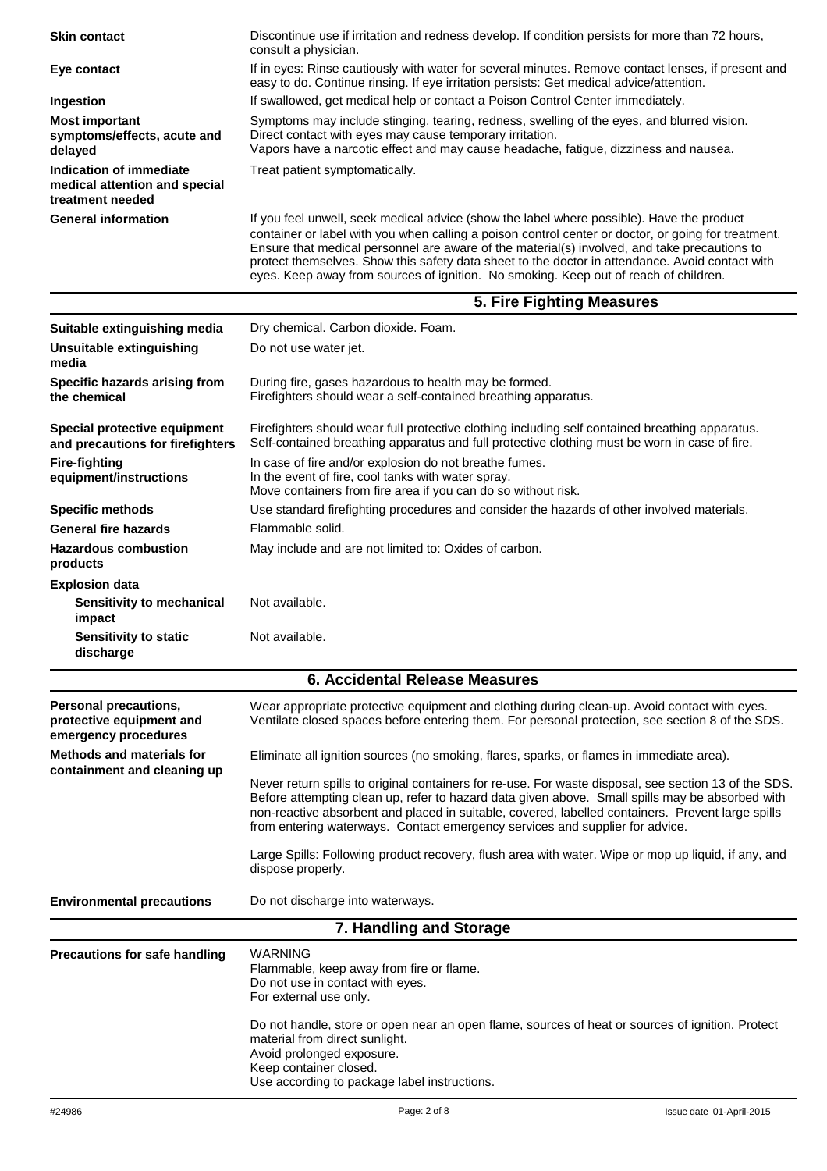| <b>Skin contact</b>                                                          | Discontinue use if irritation and redness develop. If condition persists for more than 72 hours,<br>consult a physician.                                                                                                                                                                                                                                                                                                                                                                    |  |
|------------------------------------------------------------------------------|---------------------------------------------------------------------------------------------------------------------------------------------------------------------------------------------------------------------------------------------------------------------------------------------------------------------------------------------------------------------------------------------------------------------------------------------------------------------------------------------|--|
| Eye contact                                                                  | If in eyes: Rinse cautiously with water for several minutes. Remove contact lenses, if present and<br>easy to do. Continue rinsing. If eye irritation persists: Get medical advice/attention.                                                                                                                                                                                                                                                                                               |  |
| Ingestion                                                                    | If swallowed, get medical help or contact a Poison Control Center immediately.                                                                                                                                                                                                                                                                                                                                                                                                              |  |
| <b>Most important</b><br>symptoms/effects, acute and<br>delayed              | Symptoms may include stinging, tearing, redness, swelling of the eyes, and blurred vision.<br>Direct contact with eyes may cause temporary irritation.<br>Vapors have a narcotic effect and may cause headache, fatigue, dizziness and nausea.                                                                                                                                                                                                                                              |  |
| Indication of immediate<br>medical attention and special<br>treatment needed | Treat patient symptomatically.                                                                                                                                                                                                                                                                                                                                                                                                                                                              |  |
| <b>General information</b>                                                   | If you feel unwell, seek medical advice (show the label where possible). Have the product<br>container or label with you when calling a poison control center or doctor, or going for treatment.<br>Ensure that medical personnel are aware of the material(s) involved, and take precautions to<br>protect themselves. Show this safety data sheet to the doctor in attendance. Avoid contact with<br>eyes. Keep away from sources of ignition. No smoking. Keep out of reach of children. |  |
|                                                                              | 5. Fire Fighting Measures                                                                                                                                                                                                                                                                                                                                                                                                                                                                   |  |
| Suitable extinguishing media                                                 | Dry chemical. Carbon dioxide. Foam.                                                                                                                                                                                                                                                                                                                                                                                                                                                         |  |
| Unsuitable extinguishing<br>media                                            | Do not use water jet.                                                                                                                                                                                                                                                                                                                                                                                                                                                                       |  |
| Specific hazards arising from<br>the chemical                                | During fire, gases hazardous to health may be formed.<br>Firefighters should wear a self-contained breathing apparatus.                                                                                                                                                                                                                                                                                                                                                                     |  |
| Special protective equipment<br>and precautions for firefighters             | Firefighters should wear full protective clothing including self contained breathing apparatus.<br>Self-contained breathing apparatus and full protective clothing must be worn in case of fire.                                                                                                                                                                                                                                                                                            |  |
| <b>Fire-fighting</b><br>equipment/instructions                               | In case of fire and/or explosion do not breathe fumes.<br>In the event of fire, cool tanks with water spray.                                                                                                                                                                                                                                                                                                                                                                                |  |
| <b>Specific methods</b>                                                      | Move containers from fire area if you can do so without risk.<br>Use standard firefighting procedures and consider the hazards of other involved materials.                                                                                                                                                                                                                                                                                                                                 |  |
| <b>General fire hazards</b>                                                  | Flammable solid.                                                                                                                                                                                                                                                                                                                                                                                                                                                                            |  |
| <b>Hazardous combustion</b>                                                  | May include and are not limited to: Oxides of carbon.                                                                                                                                                                                                                                                                                                                                                                                                                                       |  |
| products                                                                     |                                                                                                                                                                                                                                                                                                                                                                                                                                                                                             |  |
| <b>Explosion data</b><br>Sensitivity to mechanical<br>impact                 | Not available.                                                                                                                                                                                                                                                                                                                                                                                                                                                                              |  |
| <b>Sensitivity to static</b><br>discharge                                    | Not available.                                                                                                                                                                                                                                                                                                                                                                                                                                                                              |  |
|                                                                              | <b>6. Accidental Release Measures</b>                                                                                                                                                                                                                                                                                                                                                                                                                                                       |  |
| Personal precautions,<br>protective equipment and<br>emergency procedures    | Wear appropriate protective equipment and clothing during clean-up. Avoid contact with eyes.<br>Ventilate closed spaces before entering them. For personal protection, see section 8 of the SDS.                                                                                                                                                                                                                                                                                            |  |
| <b>Methods and materials for</b><br>containment and cleaning up              | Eliminate all ignition sources (no smoking, flares, sparks, or flames in immediate area).                                                                                                                                                                                                                                                                                                                                                                                                   |  |
|                                                                              | Never return spills to original containers for re-use. For waste disposal, see section 13 of the SDS.<br>Before attempting clean up, refer to hazard data given above. Small spills may be absorbed with<br>non-reactive absorbent and placed in suitable, covered, labelled containers. Prevent large spills<br>from entering waterways. Contact emergency services and supplier for advice.                                                                                               |  |
|                                                                              | Large Spills: Following product recovery, flush area with water. Wipe or mop up liquid, if any, and<br>dispose properly.                                                                                                                                                                                                                                                                                                                                                                    |  |
| <b>Environmental precautions</b>                                             | Do not discharge into waterways.                                                                                                                                                                                                                                                                                                                                                                                                                                                            |  |
|                                                                              | 7. Handling and Storage                                                                                                                                                                                                                                                                                                                                                                                                                                                                     |  |
| <b>Precautions for safe handling</b>                                         | <b>WARNING</b><br>Flammable, keep away from fire or flame.<br>Do not use in contact with eyes.<br>For external use only.                                                                                                                                                                                                                                                                                                                                                                    |  |
|                                                                              | Do not handle, store or open near an open flame, sources of heat or sources of ignition. Protect<br>material from direct sunlight.<br>Avoid prolonged exposure.<br>Keep container closed.<br>Use according to package label instructions.                                                                                                                                                                                                                                                   |  |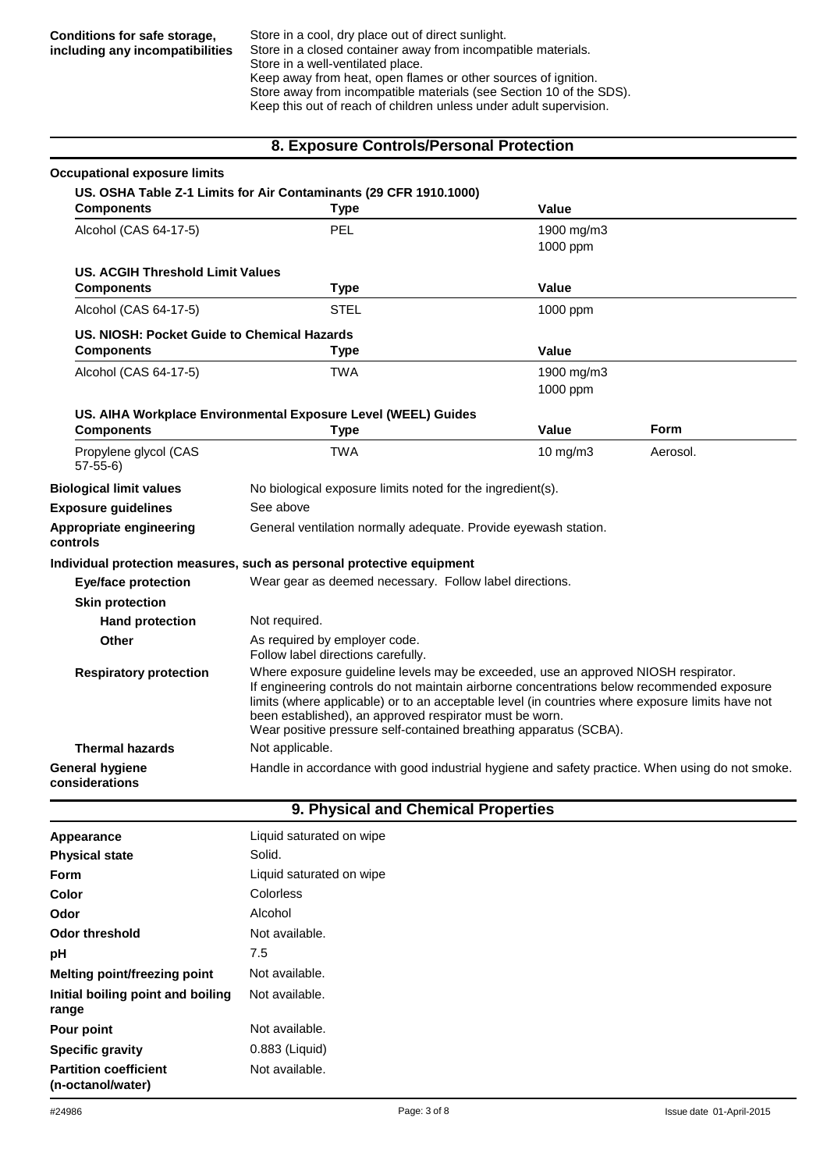Store in a cool, dry place out of direct sunlight. Store in a closed container away from incompatible materials. Store in a well-ventilated place. Keep away from heat, open flames or other sources of ignition. Store away from incompatible materials (see Section 10 of the SDS). Keep this out of reach of children unless under adult supervision.

#### **8. Exposure Controls/Personal Protection**

| <b>Occupational exposure limits</b>         |                                                                                                                                                                                                                                                                                                                                                                                                                      |                   |             |
|---------------------------------------------|----------------------------------------------------------------------------------------------------------------------------------------------------------------------------------------------------------------------------------------------------------------------------------------------------------------------------------------------------------------------------------------------------------------------|-------------------|-------------|
|                                             | US. OSHA Table Z-1 Limits for Air Contaminants (29 CFR 1910.1000)                                                                                                                                                                                                                                                                                                                                                    |                   |             |
| <b>Components</b>                           | <b>Type</b>                                                                                                                                                                                                                                                                                                                                                                                                          | Value             |             |
| Alcohol (CAS 64-17-5)                       | <b>PEL</b>                                                                                                                                                                                                                                                                                                                                                                                                           | 1900 mg/m3        |             |
|                                             |                                                                                                                                                                                                                                                                                                                                                                                                                      | 1000 ppm          |             |
| <b>US. ACGIH Threshold Limit Values</b>     |                                                                                                                                                                                                                                                                                                                                                                                                                      |                   |             |
| <b>Components</b>                           | <b>Type</b>                                                                                                                                                                                                                                                                                                                                                                                                          | Value             |             |
| Alcohol (CAS 64-17-5)                       | <b>STEL</b>                                                                                                                                                                                                                                                                                                                                                                                                          | 1000 ppm          |             |
| US. NIOSH: Pocket Guide to Chemical Hazards |                                                                                                                                                                                                                                                                                                                                                                                                                      |                   |             |
| <b>Components</b>                           | <b>Type</b>                                                                                                                                                                                                                                                                                                                                                                                                          | Value             |             |
| Alcohol (CAS 64-17-5)                       | <b>TWA</b>                                                                                                                                                                                                                                                                                                                                                                                                           | 1900 mg/m3        |             |
|                                             |                                                                                                                                                                                                                                                                                                                                                                                                                      | 1000 ppm          |             |
|                                             | US. AIHA Workplace Environmental Exposure Level (WEEL) Guides                                                                                                                                                                                                                                                                                                                                                        |                   |             |
| <b>Components</b>                           | <b>Type</b>                                                                                                                                                                                                                                                                                                                                                                                                          | Value             | <b>Form</b> |
| Propylene glycol (CAS<br>$57-55-6$          | <b>TWA</b>                                                                                                                                                                                                                                                                                                                                                                                                           | $10 \text{ mg/m}$ | Aerosol.    |
| <b>Biological limit values</b>              | No biological exposure limits noted for the ingredient(s).                                                                                                                                                                                                                                                                                                                                                           |                   |             |
| <b>Exposure guidelines</b>                  | See above                                                                                                                                                                                                                                                                                                                                                                                                            |                   |             |
| Appropriate engineering<br>controls         | General ventilation normally adequate. Provide eyewash station.                                                                                                                                                                                                                                                                                                                                                      |                   |             |
|                                             | Individual protection measures, such as personal protective equipment                                                                                                                                                                                                                                                                                                                                                |                   |             |
| <b>Eye/face protection</b>                  | Wear gear as deemed necessary. Follow label directions.                                                                                                                                                                                                                                                                                                                                                              |                   |             |
| <b>Skin protection</b>                      |                                                                                                                                                                                                                                                                                                                                                                                                                      |                   |             |
| <b>Hand protection</b>                      | Not required.                                                                                                                                                                                                                                                                                                                                                                                                        |                   |             |
| Other                                       | As required by employer code.<br>Follow label directions carefully.                                                                                                                                                                                                                                                                                                                                                  |                   |             |
| <b>Respiratory protection</b>               | Where exposure guideline levels may be exceeded, use an approved NIOSH respirator.<br>If engineering controls do not maintain airborne concentrations below recommended exposure<br>limits (where applicable) or to an acceptable level (in countries where exposure limits have not<br>been established), an approved respirator must be worn.<br>Wear positive pressure self-contained breathing apparatus (SCBA). |                   |             |
| <b>Thermal hazards</b>                      | Not applicable.                                                                                                                                                                                                                                                                                                                                                                                                      |                   |             |
| General hygiene<br>considerations           | Handle in accordance with good industrial hygiene and safety practice. When using do not smoke.                                                                                                                                                                                                                                                                                                                      |                   |             |

#### **9. Physical and Chemical Properties**

| Appearance                                        | Liquid saturated on wipe |
|---------------------------------------------------|--------------------------|
| <b>Physical state</b>                             | Solid.                   |
| Form                                              | Liquid saturated on wipe |
| Color                                             | Colorless                |
| Odor                                              | Alcohol                  |
| Odor threshold                                    | Not available.           |
| рH                                                | 7.5                      |
| Melting point/freezing point                      | Not available.           |
| Initial boiling point and boiling<br>range        | Not available.           |
| Pour point                                        | Not available.           |
| <b>Specific gravity</b>                           | 0.883 (Liquid)           |
| <b>Partition coefficient</b><br>(n-octanol/water) | Not available.           |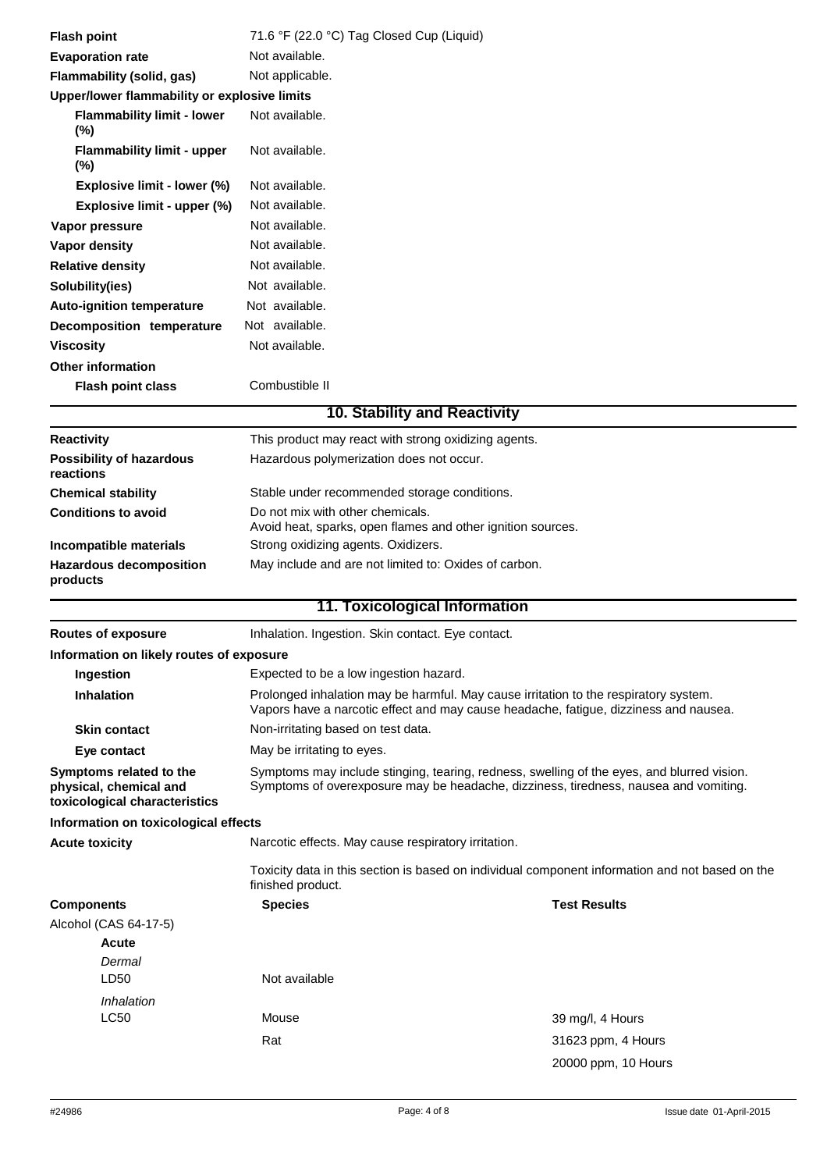| <b>Flash point</b>                                                                 | 71.6 °F (22.0 °C) Tag Closed Cup (Liquid)                                                                                                                                    |                                                                                                                                                                                    |  |
|------------------------------------------------------------------------------------|------------------------------------------------------------------------------------------------------------------------------------------------------------------------------|------------------------------------------------------------------------------------------------------------------------------------------------------------------------------------|--|
| <b>Evaporation rate</b>                                                            | Not available.                                                                                                                                                               |                                                                                                                                                                                    |  |
| <b>Flammability (solid, gas)</b>                                                   | Not applicable.                                                                                                                                                              |                                                                                                                                                                                    |  |
| Upper/lower flammability or explosive limits                                       |                                                                                                                                                                              |                                                                                                                                                                                    |  |
| <b>Flammability limit - lower</b><br>$(\%)$                                        | Not available.                                                                                                                                                               |                                                                                                                                                                                    |  |
| <b>Flammability limit - upper</b><br>$(\%)$                                        | Not available.                                                                                                                                                               |                                                                                                                                                                                    |  |
| Explosive limit - lower (%)                                                        | Not available.                                                                                                                                                               |                                                                                                                                                                                    |  |
| Explosive limit - upper (%)                                                        | Not available.                                                                                                                                                               |                                                                                                                                                                                    |  |
| Vapor pressure                                                                     | Not available.                                                                                                                                                               |                                                                                                                                                                                    |  |
| <b>Vapor density</b>                                                               | Not available.                                                                                                                                                               |                                                                                                                                                                                    |  |
| <b>Relative density</b>                                                            | Not available.                                                                                                                                                               |                                                                                                                                                                                    |  |
| Solubility(ies)                                                                    | Not available.                                                                                                                                                               |                                                                                                                                                                                    |  |
| <b>Auto-ignition temperature</b>                                                   | Not available.                                                                                                                                                               |                                                                                                                                                                                    |  |
| Decomposition temperature                                                          | Not available.                                                                                                                                                               |                                                                                                                                                                                    |  |
| <b>Viscosity</b>                                                                   | Not available.                                                                                                                                                               |                                                                                                                                                                                    |  |
| <b>Other information</b>                                                           |                                                                                                                                                                              |                                                                                                                                                                                    |  |
| <b>Flash point class</b>                                                           | Combustible II                                                                                                                                                               |                                                                                                                                                                                    |  |
|                                                                                    | <b>10. Stability and Reactivity</b>                                                                                                                                          |                                                                                                                                                                                    |  |
| <b>Reactivity</b>                                                                  | This product may react with strong oxidizing agents.                                                                                                                         |                                                                                                                                                                                    |  |
| <b>Possibility of hazardous</b><br>reactions                                       | Hazardous polymerization does not occur.                                                                                                                                     |                                                                                                                                                                                    |  |
| <b>Chemical stability</b>                                                          | Stable under recommended storage conditions.                                                                                                                                 |                                                                                                                                                                                    |  |
| <b>Conditions to avoid</b>                                                         | Do not mix with other chemicals.<br>Avoid heat, sparks, open flames and other ignition sources.                                                                              |                                                                                                                                                                                    |  |
| Incompatible materials                                                             | Strong oxidizing agents. Oxidizers.                                                                                                                                          |                                                                                                                                                                                    |  |
| <b>Hazardous decomposition</b><br>products                                         | May include and are not limited to: Oxides of carbon.                                                                                                                        |                                                                                                                                                                                    |  |
|                                                                                    | 11. Toxicological Information                                                                                                                                                |                                                                                                                                                                                    |  |
| <b>Routes of exposure</b>                                                          | Inhalation. Ingestion. Skin contact. Eye contact.                                                                                                                            |                                                                                                                                                                                    |  |
| Information on likely routes of exposure                                           |                                                                                                                                                                              |                                                                                                                                                                                    |  |
| Ingestion                                                                          | Expected to be a low ingestion hazard.                                                                                                                                       |                                                                                                                                                                                    |  |
| <b>Inhalation</b>                                                                  | Prolonged inhalation may be harmful. May cause irritation to the respiratory system.<br>Vapors have a narcotic effect and may cause headache, fatigue, dizziness and nausea. |                                                                                                                                                                                    |  |
| <b>Skin contact</b>                                                                | Non-irritating based on test data.                                                                                                                                           |                                                                                                                                                                                    |  |
| Eye contact                                                                        | May be irritating to eyes.                                                                                                                                                   |                                                                                                                                                                                    |  |
| Symptoms related to the<br>physical, chemical and<br>toxicological characteristics |                                                                                                                                                                              | Symptoms may include stinging, tearing, redness, swelling of the eyes, and blurred vision.<br>Symptoms of overexposure may be headache, dizziness, tiredness, nausea and vomiting. |  |
| Information on toxicological effects                                               |                                                                                                                                                                              |                                                                                                                                                                                    |  |
| <b>Acute toxicity</b>                                                              | Narcotic effects. May cause respiratory irritation.                                                                                                                          |                                                                                                                                                                                    |  |
|                                                                                    | finished product.                                                                                                                                                            | Toxicity data in this section is based on individual component information and not based on the                                                                                    |  |
| <b>Components</b>                                                                  | <b>Species</b>                                                                                                                                                               | <b>Test Results</b>                                                                                                                                                                |  |
| Alcohol (CAS 64-17-5)                                                              |                                                                                                                                                                              |                                                                                                                                                                                    |  |
| <b>Acute</b>                                                                       |                                                                                                                                                                              |                                                                                                                                                                                    |  |
| Dermal                                                                             |                                                                                                                                                                              |                                                                                                                                                                                    |  |
| LD50                                                                               | Not available                                                                                                                                                                |                                                                                                                                                                                    |  |
| Inhalation                                                                         |                                                                                                                                                                              |                                                                                                                                                                                    |  |
| <b>LC50</b>                                                                        | Mouse                                                                                                                                                                        | 39 mg/l, 4 Hours                                                                                                                                                                   |  |
|                                                                                    | Rat                                                                                                                                                                          | 31623 ppm, 4 Hours                                                                                                                                                                 |  |
|                                                                                    |                                                                                                                                                                              | 20000 ppm, 10 Hours                                                                                                                                                                |  |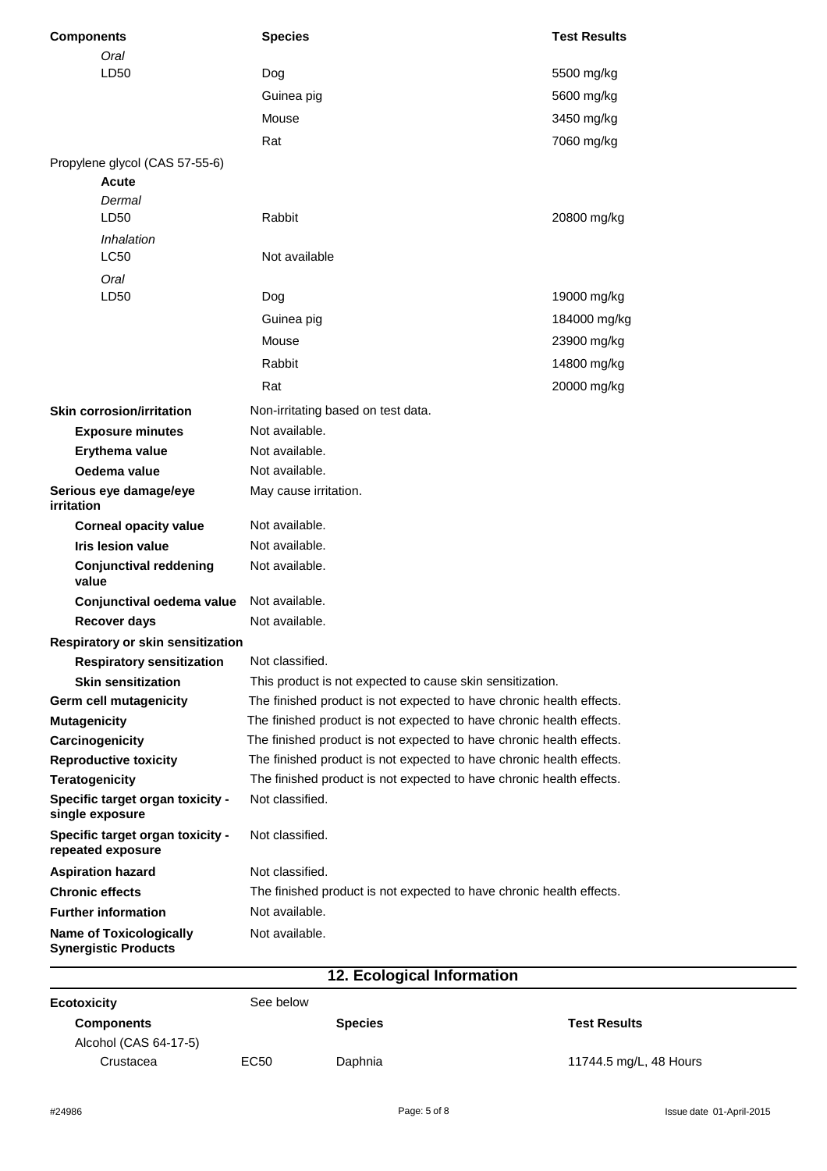| <b>Components</b>                                     | <b>Species</b>                                                       | <b>Test Results</b> |
|-------------------------------------------------------|----------------------------------------------------------------------|---------------------|
| Oral                                                  |                                                                      |                     |
| LD50                                                  | Dog                                                                  | 5500 mg/kg          |
|                                                       | Guinea pig                                                           | 5600 mg/kg          |
|                                                       | Mouse                                                                | 3450 mg/kg          |
|                                                       | Rat                                                                  | 7060 mg/kg          |
| Propylene glycol (CAS 57-55-6)                        |                                                                      |                     |
| <b>Acute</b>                                          |                                                                      |                     |
| Dermal<br>LD50                                        | Rabbit                                                               |                     |
|                                                       |                                                                      | 20800 mg/kg         |
| Inhalation<br><b>LC50</b>                             | Not available                                                        |                     |
| Oral                                                  |                                                                      |                     |
| LD50                                                  | Dog                                                                  | 19000 mg/kg         |
|                                                       | Guinea pig                                                           | 184000 mg/kg        |
|                                                       | Mouse                                                                | 23900 mg/kg         |
|                                                       | Rabbit                                                               | 14800 mg/kg         |
|                                                       |                                                                      |                     |
|                                                       | Rat                                                                  | 20000 mg/kg         |
| <b>Skin corrosion/irritation</b>                      | Non-irritating based on test data.                                   |                     |
| <b>Exposure minutes</b>                               | Not available.                                                       |                     |
| Erythema value                                        | Not available.                                                       |                     |
| Oedema value                                          | Not available.                                                       |                     |
| Serious eye damage/eye<br>irritation                  | May cause irritation.                                                |                     |
| <b>Corneal opacity value</b>                          | Not available.                                                       |                     |
| <b>Iris lesion value</b>                              | Not available.                                                       |                     |
| <b>Conjunctival reddening</b><br>value                | Not available.                                                       |                     |
| Conjunctival oedema value                             | Not available.                                                       |                     |
| <b>Recover days</b>                                   | Not available.                                                       |                     |
| <b>Respiratory or skin sensitization</b>              |                                                                      |                     |
| <b>Respiratory sensitization</b>                      | Not classified.                                                      |                     |
| <b>Skin sensitization</b>                             | This product is not expected to cause skin sensitization.            |                     |
| Germ cell mutagenicity                                | The finished product is not expected to have chronic health effects. |                     |
| <b>Mutagenicity</b>                                   | The finished product is not expected to have chronic health effects. |                     |
| Carcinogenicity                                       | The finished product is not expected to have chronic health effects. |                     |
| <b>Reproductive toxicity</b>                          | The finished product is not expected to have chronic health effects. |                     |
| <b>Teratogenicity</b>                                 | The finished product is not expected to have chronic health effects. |                     |
| Specific target organ toxicity -<br>single exposure   | Not classified.                                                      |                     |
| Specific target organ toxicity -<br>repeated exposure | Not classified.                                                      |                     |
| <b>Aspiration hazard</b>                              | Not classified.                                                      |                     |
| <b>Chronic effects</b>                                | The finished product is not expected to have chronic health effects. |                     |
| <b>Further information</b>                            | Not available.                                                       |                     |
| <b>Name of Toxicologically</b>                        | Not available.                                                       |                     |

|                       |                  | . .            |                        |
|-----------------------|------------------|----------------|------------------------|
| Ecotoxicity           | See below        |                |                        |
| <b>Components</b>     |                  | <b>Species</b> | <b>Test Results</b>    |
| Alcohol (CAS 64-17-5) |                  |                |                        |
| Crustacea             | EC <sub>50</sub> | Daphnia        | 11744.5 mg/L, 48 Hours |
|                       |                  |                |                        |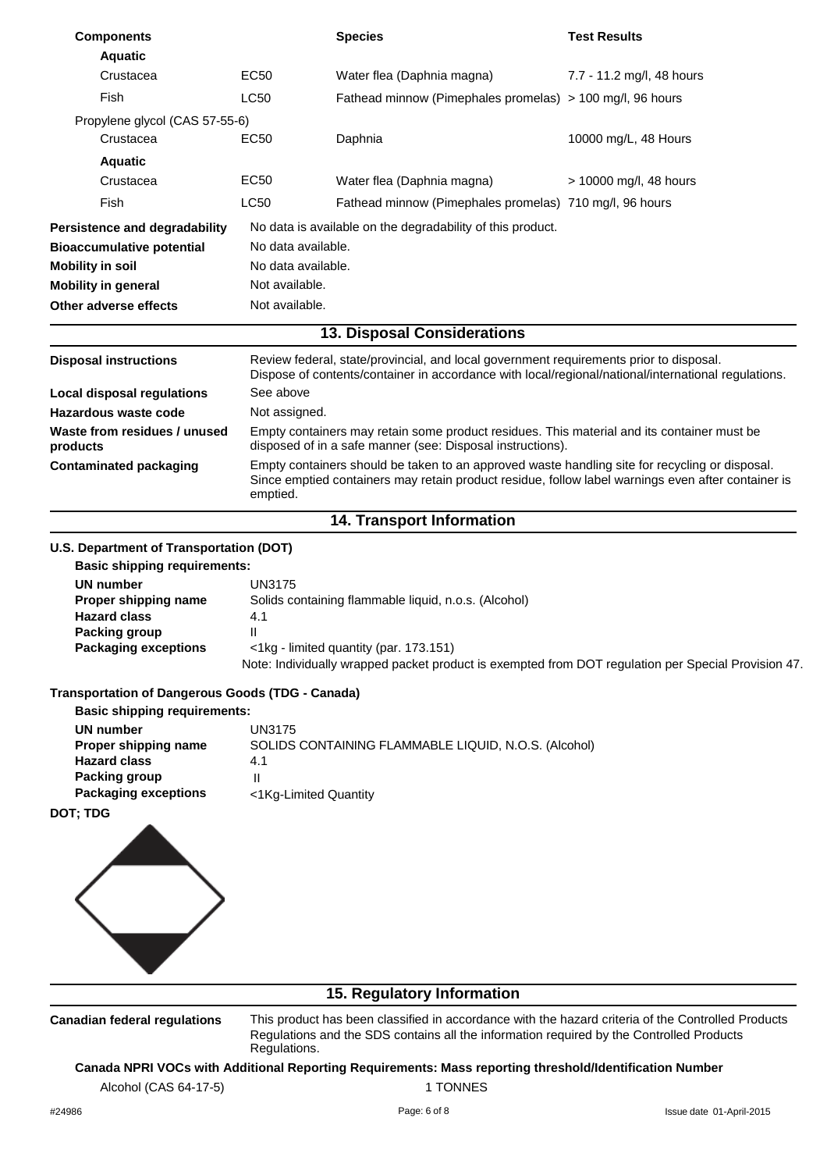| <b>Components</b>                                                              |                    | <b>Species</b>                                                                                                                                                                                       | <b>Test Results</b>       |
|--------------------------------------------------------------------------------|--------------------|------------------------------------------------------------------------------------------------------------------------------------------------------------------------------------------------------|---------------------------|
| <b>Aquatic</b>                                                                 |                    |                                                                                                                                                                                                      |                           |
| Crustacea                                                                      | <b>EC50</b>        | Water flea (Daphnia magna)                                                                                                                                                                           | 7.7 - 11.2 mg/l, 48 hours |
| Fish                                                                           | LC50               | Fathead minnow (Pimephales promelas) > 100 mg/l, 96 hours                                                                                                                                            |                           |
| Propylene glycol (CAS 57-55-6)                                                 |                    |                                                                                                                                                                                                      |                           |
| Crustacea                                                                      | EC50               | Daphnia                                                                                                                                                                                              | 10000 mg/L, 48 Hours      |
| <b>Aquatic</b>                                                                 |                    |                                                                                                                                                                                                      |                           |
| Crustacea                                                                      | EC50               | Water flea (Daphnia magna)                                                                                                                                                                           | > 10000 mg/l, 48 hours    |
| Fish                                                                           | <b>LC50</b>        | Fathead minnow (Pimephales promelas) 710 mg/l, 96 hours                                                                                                                                              |                           |
| Persistence and degradability                                                  |                    | No data is available on the degradability of this product.                                                                                                                                           |                           |
| <b>Bioaccumulative potential</b>                                               | No data available. |                                                                                                                                                                                                      |                           |
| <b>Mobility in soil</b>                                                        | No data available. |                                                                                                                                                                                                      |                           |
| <b>Mobility in general</b>                                                     | Not available.     |                                                                                                                                                                                                      |                           |
| Other adverse effects                                                          | Not available.     |                                                                                                                                                                                                      |                           |
|                                                                                |                    | <b>13. Disposal Considerations</b>                                                                                                                                                                   |                           |
| <b>Disposal instructions</b>                                                   |                    | Review federal, state/provincial, and local government requirements prior to disposal.<br>Dispose of contents/container in accordance with local/regional/national/international regulations.        |                           |
| <b>Local disposal regulations</b>                                              | See above          |                                                                                                                                                                                                      |                           |
| Hazardous waste code                                                           | Not assigned.      |                                                                                                                                                                                                      |                           |
| Waste from residues / unused<br>products                                       |                    | Empty containers may retain some product residues. This material and its container must be<br>disposed of in a safe manner (see: Disposal instructions).                                             |                           |
| <b>Contaminated packaging</b>                                                  | emptied.           | Empty containers should be taken to an approved waste handling site for recycling or disposal.<br>Since emptied containers may retain product residue, follow label warnings even after container is |                           |
|                                                                                |                    | <b>14. Transport Information</b>                                                                                                                                                                     |                           |
|                                                                                |                    |                                                                                                                                                                                                      |                           |
| U.S. Department of Transportation (DOT)<br><b>Basic shipping requirements:</b> |                    |                                                                                                                                                                                                      |                           |
| <b>UN number</b>                                                               | <b>UN3175</b>      |                                                                                                                                                                                                      |                           |
| Proper shipping name                                                           |                    | Solids containing flammable liquid, n.o.s. (Alcohol)                                                                                                                                                 |                           |
| <b>Hazard class</b>                                                            | 4.1                |                                                                                                                                                                                                      |                           |
| <b>Packing group</b>                                                           | Ш                  | <1kg - limited quantity (par. 173.151)                                                                                                                                                               |                           |
| <b>Packaging exceptions</b>                                                    |                    | Note: Individually wrapped packet product is exempted from DOT regulation per Special Provision 47.                                                                                                  |                           |
| <b>Transportation of Dangerous Goods (TDG - Canada)</b>                        |                    |                                                                                                                                                                                                      |                           |
| <b>Basic shipping requirements:</b>                                            |                    |                                                                                                                                                                                                      |                           |
| <b>UN number</b>                                                               | <b>UN3175</b>      |                                                                                                                                                                                                      |                           |
| Proper shipping name<br><b>Hazard class</b>                                    | 4.1                | SOLIDS CONTAINING FLAMMABLE LIQUID, N.O.S. (Alcohol)                                                                                                                                                 |                           |
| <b>Packing group</b>                                                           | $\mathbf{I}$       |                                                                                                                                                                                                      |                           |
| <b>Packaging exceptions</b>                                                    |                    | <1Kg-Limited Quantity                                                                                                                                                                                |                           |
| <b>DOT; TDG</b>                                                                |                    |                                                                                                                                                                                                      |                           |
|                                                                                |                    |                                                                                                                                                                                                      |                           |
|                                                                                |                    | 15. Regulatory Information                                                                                                                                                                           |                           |
| <b>Canadian federal regulations</b>                                            | Regulations.       | This product has been classified in accordance with the hazard criteria of the Controlled Products<br>Regulations and the SDS contains all the information required by the Controlled Products       |                           |
| Alcohol (CAS 64-17-5)                                                          |                    | Canada NPRI VOCs with Additional Reporting Requirements: Mass reporting threshold/Identification Number<br>1 TONNES                                                                                  |                           |
| #24986                                                                         |                    | Page: 6 of 8                                                                                                                                                                                         | Issue date 01-April-2015  |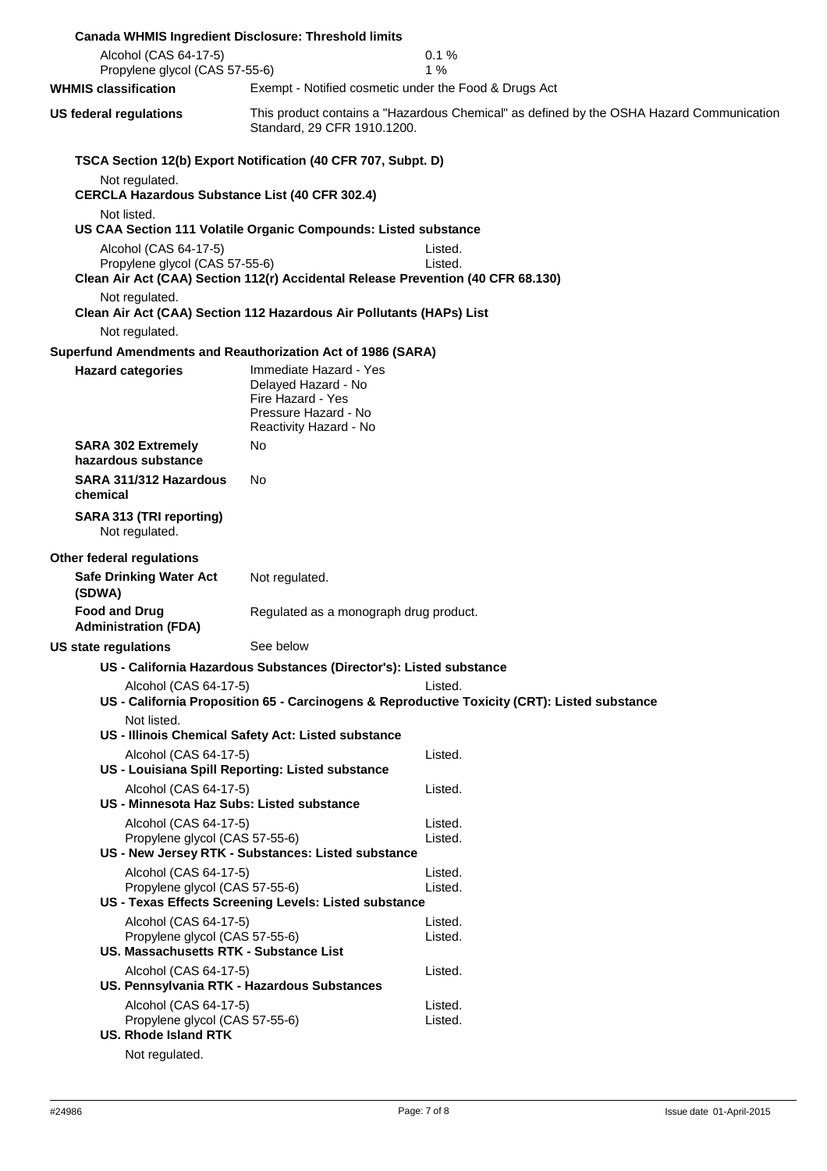|                                                                                                   | <b>Canada WHMIS Ingredient Disclosure: Threshold limits</b>                                                                                         |                                                                                                         |
|---------------------------------------------------------------------------------------------------|-----------------------------------------------------------------------------------------------------------------------------------------------------|---------------------------------------------------------------------------------------------------------|
| Alcohol (CAS 64-17-5)<br>Propylene glycol (CAS 57-55-6)                                           |                                                                                                                                                     | 0.1%<br>1%                                                                                              |
| <b>WHMIS classification</b>                                                                       | Exempt - Notified cosmetic under the Food & Drugs Act                                                                                               |                                                                                                         |
| <b>US federal regulations</b>                                                                     | Standard, 29 CFR 1910.1200.                                                                                                                         | This product contains a "Hazardous Chemical" as defined by the OSHA Hazard Communication                |
| Not regulated.<br><b>CERCLA Hazardous Substance List (40 CFR 302.4)</b>                           | TSCA Section 12(b) Export Notification (40 CFR 707, Subpt. D)                                                                                       |                                                                                                         |
| Not listed.<br>Alcohol (CAS 64-17-5)<br>Propylene glycol (CAS 57-55-6)                            | US CAA Section 111 Volatile Organic Compounds: Listed substance<br>Clean Air Act (CAA) Section 112(r) Accidental Release Prevention (40 CFR 68.130) | Listed.<br>Listed.                                                                                      |
| Not regulated.<br>Not regulated.                                                                  | Clean Air Act (CAA) Section 112 Hazardous Air Pollutants (HAPs) List                                                                                |                                                                                                         |
|                                                                                                   | Superfund Amendments and Reauthorization Act of 1986 (SARA)                                                                                         |                                                                                                         |
| <b>Hazard categories</b>                                                                          | Immediate Hazard - Yes<br>Delayed Hazard - No<br>Fire Hazard - Yes<br>Pressure Hazard - No<br>Reactivity Hazard - No                                |                                                                                                         |
| <b>SARA 302 Extremely</b><br>hazardous substance                                                  | No                                                                                                                                                  |                                                                                                         |
| SARA 311/312 Hazardous<br>chemical                                                                | No                                                                                                                                                  |                                                                                                         |
| SARA 313 (TRI reporting)<br>Not regulated.                                                        |                                                                                                                                                     |                                                                                                         |
| Other federal regulations<br><b>Safe Drinking Water Act</b><br>(SDWA)                             | Not regulated.                                                                                                                                      |                                                                                                         |
| <b>Food and Drug</b><br><b>Administration (FDA)</b>                                               | Regulated as a monograph drug product.                                                                                                              |                                                                                                         |
| US state regulations                                                                              | See below                                                                                                                                           |                                                                                                         |
|                                                                                                   | US - California Hazardous Substances (Director's): Listed substance                                                                                 |                                                                                                         |
| Alcohol (CAS 64-17-5)                                                                             |                                                                                                                                                     | Listed.<br>US - California Proposition 65 - Carcinogens & Reproductive Toxicity (CRT): Listed substance |
| Not listed.                                                                                       | US - Illinois Chemical Safety Act: Listed substance                                                                                                 |                                                                                                         |
| Alcohol (CAS 64-17-5)                                                                             | US - Louisiana Spill Reporting: Listed substance                                                                                                    | Listed.                                                                                                 |
| Alcohol (CAS 64-17-5)                                                                             | US - Minnesota Haz Subs: Listed substance                                                                                                           | Listed.                                                                                                 |
| Alcohol (CAS 64-17-5)<br>Propylene glycol (CAS 57-55-6)                                           | US - New Jersey RTK - Substances: Listed substance                                                                                                  | Listed.<br>Listed.                                                                                      |
| Alcohol (CAS 64-17-5)<br>Propylene glycol (CAS 57-55-6)                                           | US - Texas Effects Screening Levels: Listed substance                                                                                               | Listed.<br>Listed.                                                                                      |
| Alcohol (CAS 64-17-5)<br>Propylene glycol (CAS 57-55-6)<br>US. Massachusetts RTK - Substance List |                                                                                                                                                     | Listed.<br>Listed.                                                                                      |
| Alcohol (CAS 64-17-5)                                                                             | US. Pennsylvania RTK - Hazardous Substances                                                                                                         | Listed.                                                                                                 |
| Alcohol (CAS 64-17-5)<br>Propylene glycol (CAS 57-55-6)<br><b>US. Rhode Island RTK</b>            |                                                                                                                                                     | Listed.<br>Listed.                                                                                      |
| Not regulated.                                                                                    |                                                                                                                                                     |                                                                                                         |